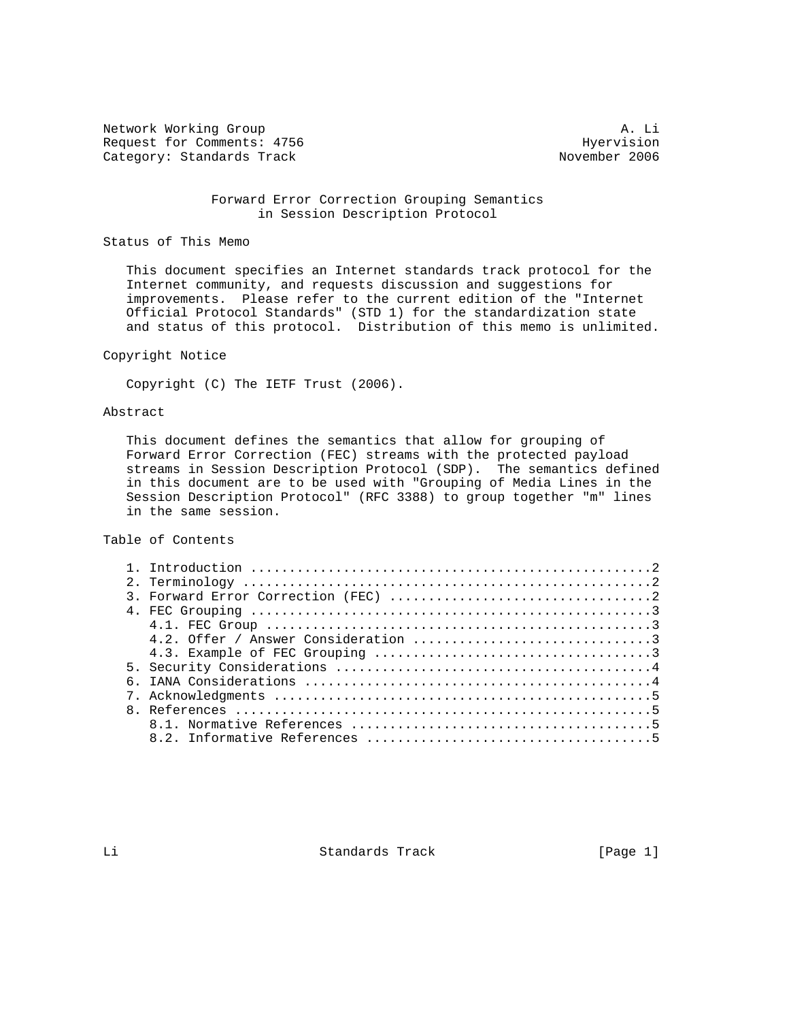Network Working Group and the set of the set of the set of the set of the set of the set of the set of the set of the set of the set of the set of the set of the set of the set of the set of the set of the set of the set o Request for Comments: 4756 Hyervision<br>
Category: Standards Track Hyervision (November 2006) Category: Standards Track

### Forward Error Correction Grouping Semantics in Session Description Protocol

## Status of This Memo

 This document specifies an Internet standards track protocol for the Internet community, and requests discussion and suggestions for improvements. Please refer to the current edition of the "Internet Official Protocol Standards" (STD 1) for the standardization state and status of this protocol. Distribution of this memo is unlimited.

### Copyright Notice

Copyright (C) The IETF Trust (2006).

# Abstract

 This document defines the semantics that allow for grouping of Forward Error Correction (FEC) streams with the protected payload streams in Session Description Protocol (SDP). The semantics defined in this document are to be used with "Grouping of Media Lines in the Session Description Protocol" (RFC 3388) to group together "m" lines in the same session.

Table of Contents

Li Standards Track [Page 1]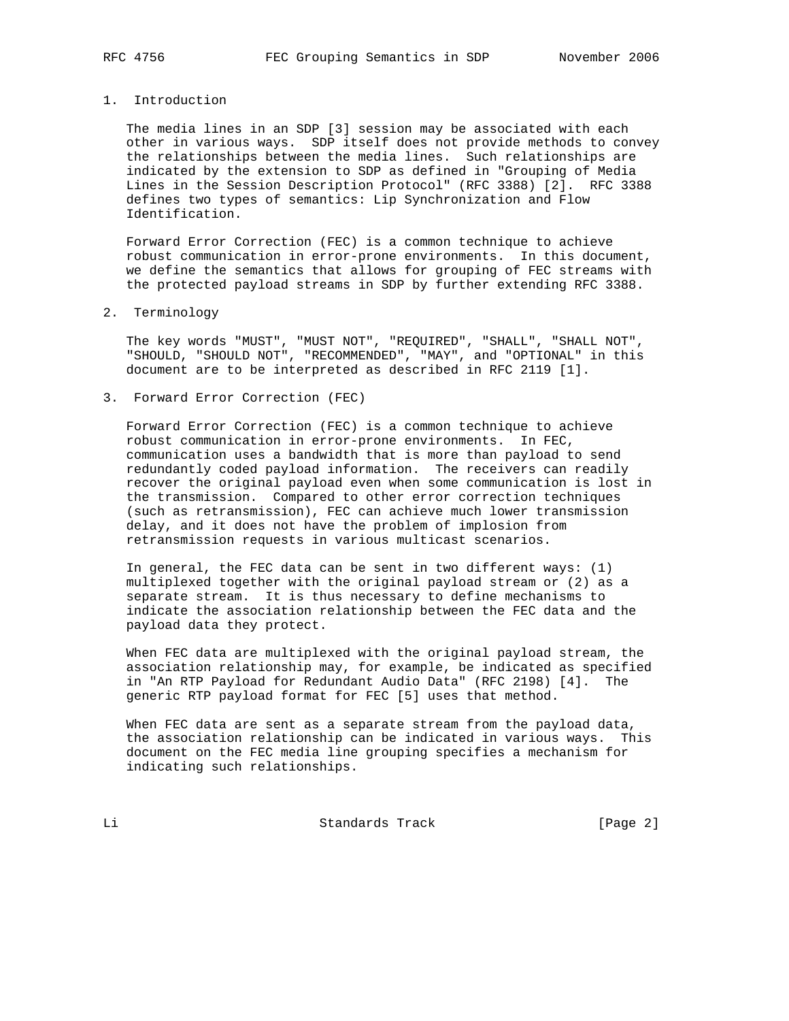### 1. Introduction

 The media lines in an SDP [3] session may be associated with each other in various ways. SDP itself does not provide methods to convey the relationships between the media lines. Such relationships are indicated by the extension to SDP as defined in "Grouping of Media Lines in the Session Description Protocol" (RFC 3388) [2]. RFC 3388 defines two types of semantics: Lip Synchronization and Flow Identification.

 Forward Error Correction (FEC) is a common technique to achieve robust communication in error-prone environments. In this document, we define the semantics that allows for grouping of FEC streams with the protected payload streams in SDP by further extending RFC 3388.

### 2. Terminology

 The key words "MUST", "MUST NOT", "REQUIRED", "SHALL", "SHALL NOT", "SHOULD, "SHOULD NOT", "RECOMMENDED", "MAY", and "OPTIONAL" in this document are to be interpreted as described in RFC 2119 [1].

3. Forward Error Correction (FEC)

 Forward Error Correction (FEC) is a common technique to achieve robust communication in error-prone environments. In FEC, communication uses a bandwidth that is more than payload to send redundantly coded payload information. The receivers can readily recover the original payload even when some communication is lost in the transmission. Compared to other error correction techniques (such as retransmission), FEC can achieve much lower transmission delay, and it does not have the problem of implosion from retransmission requests in various multicast scenarios.

 In general, the FEC data can be sent in two different ways: (1) multiplexed together with the original payload stream or (2) as a separate stream. It is thus necessary to define mechanisms to indicate the association relationship between the FEC data and the payload data they protect.

 When FEC data are multiplexed with the original payload stream, the association relationship may, for example, be indicated as specified in "An RTP Payload for Redundant Audio Data" (RFC 2198) [4]. The generic RTP payload format for FEC [5] uses that method.

 When FEC data are sent as a separate stream from the payload data, the association relationship can be indicated in various ways. This document on the FEC media line grouping specifies a mechanism for indicating such relationships.

Li Standards Track [Page 2]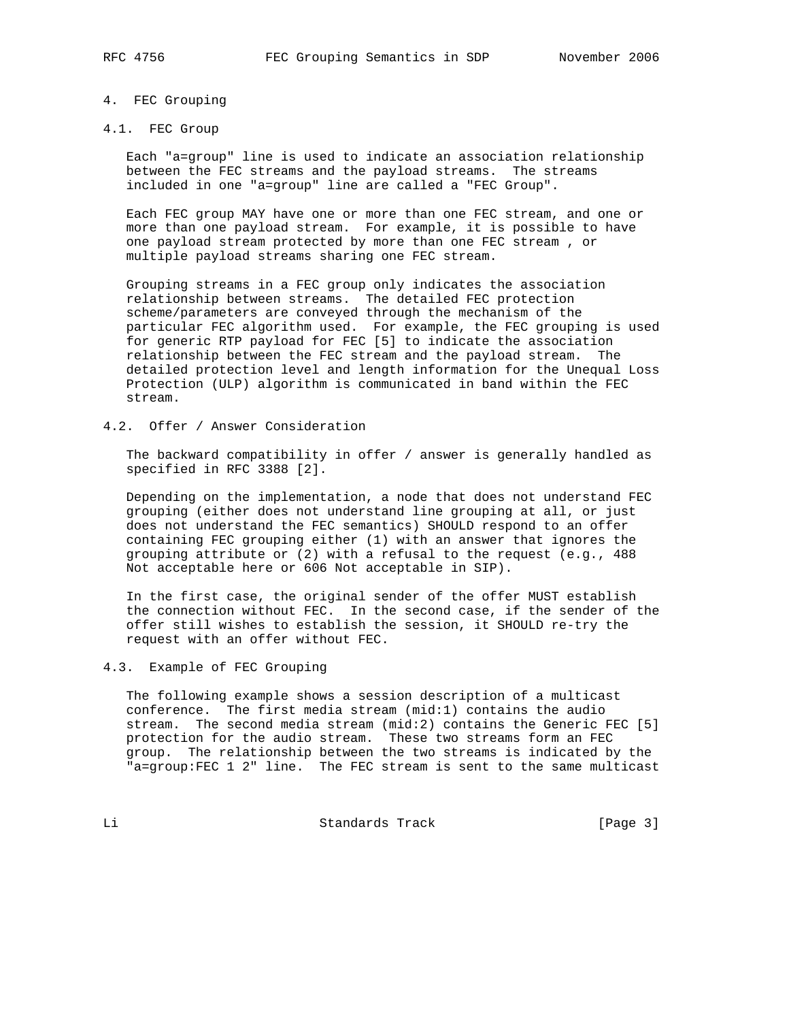### 4. FEC Grouping

### 4.1. FEC Group

 Each "a=group" line is used to indicate an association relationship between the FEC streams and the payload streams. The streams included in one "a=group" line are called a "FEC Group".

 Each FEC group MAY have one or more than one FEC stream, and one or more than one payload stream. For example, it is possible to have one payload stream protected by more than one FEC stream , or multiple payload streams sharing one FEC stream.

 Grouping streams in a FEC group only indicates the association relationship between streams. The detailed FEC protection scheme/parameters are conveyed through the mechanism of the particular FEC algorithm used. For example, the FEC grouping is used for generic RTP payload for FEC [5] to indicate the association relationship between the FEC stream and the payload stream. The detailed protection level and length information for the Unequal Loss Protection (ULP) algorithm is communicated in band within the FEC stream.

4.2. Offer / Answer Consideration

 The backward compatibility in offer / answer is generally handled as specified in RFC 3388 [2].

 Depending on the implementation, a node that does not understand FEC grouping (either does not understand line grouping at all, or just does not understand the FEC semantics) SHOULD respond to an offer containing FEC grouping either (1) with an answer that ignores the grouping attribute or (2) with a refusal to the request (e.g., 488 Not acceptable here or 606 Not acceptable in SIP).

 In the first case, the original sender of the offer MUST establish the connection without FEC. In the second case, if the sender of the offer still wishes to establish the session, it SHOULD re-try the request with an offer without FEC.

4.3. Example of FEC Grouping

 The following example shows a session description of a multicast conference. The first media stream (mid:1) contains the audio stream. The second media stream (mid:2) contains the Generic FEC [5] protection for the audio stream. These two streams form an FEC group. The relationship between the two streams is indicated by the "a=group:FEC 1 2" line. The FEC stream is sent to the same multicast

Li Standards Track [Page 3]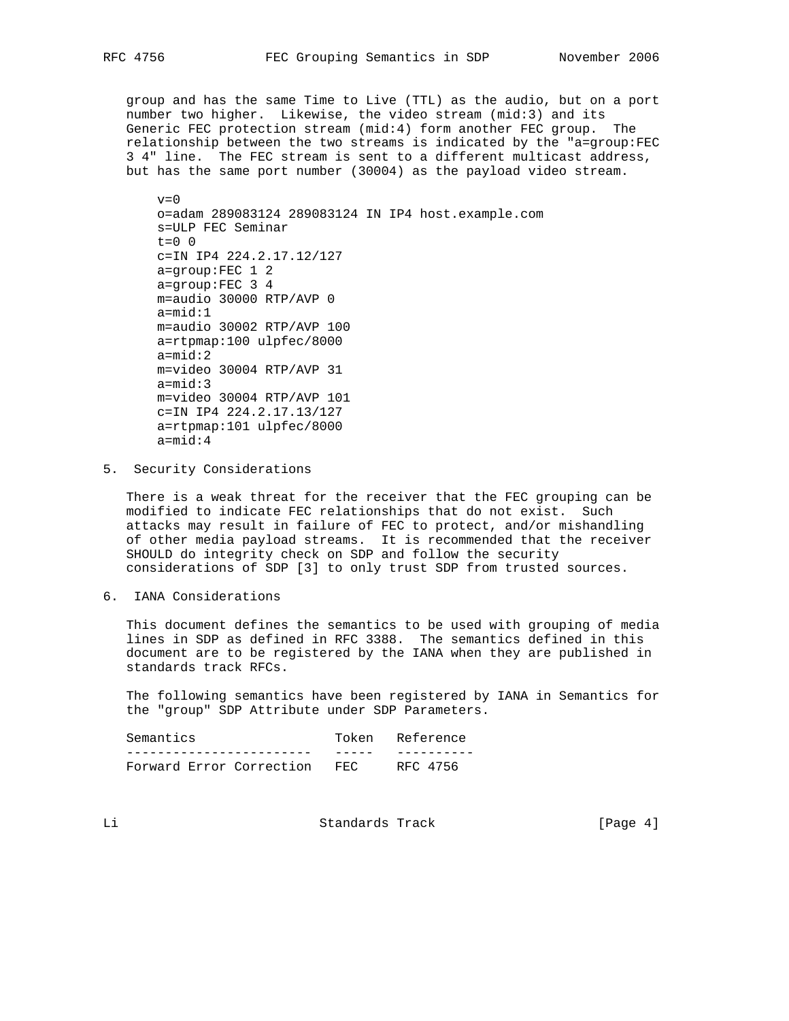group and has the same Time to Live (TTL) as the audio, but on a port number two higher. Likewise, the video stream (mid:3) and its Generic FEC protection stream (mid:4) form another FEC group. The relationship between the two streams is indicated by the "a=group:FEC 3 4" line. The FEC stream is sent to a different multicast address, but has the same port number (30004) as the payload video stream.

```
v=0 o=adam 289083124 289083124 IN IP4 host.example.com
 s=ULP FEC Seminar
t=0 0
 c=IN IP4 224.2.17.12/127
 a=group:FEC 1 2
 a=group:FEC 3 4
 m=audio 30000 RTP/AVP 0
 a=mid:1
 m=audio 30002 RTP/AVP 100
 a=rtpmap:100 ulpfec/8000
 a=mid:2
 m=video 30004 RTP/AVP 31
 a=mid:3
 m=video 30004 RTP/AVP 101
 c=IN IP4 224.2.17.13/127
 a=rtpmap:101 ulpfec/8000
a = mid:4
```
5. Security Considerations

 There is a weak threat for the receiver that the FEC grouping can be modified to indicate FEC relationships that do not exist. Such attacks may result in failure of FEC to protect, and/or mishandling of other media payload streams. It is recommended that the receiver SHOULD do integrity check on SDP and follow the security considerations of SDP [3] to only trust SDP from trusted sources.

6. IANA Considerations

 This document defines the semantics to be used with grouping of media lines in SDP as defined in RFC 3388. The semantics defined in this document are to be registered by the IANA when they are published in standards track RFCs.

 The following semantics have been registered by IANA in Semantics for the "group" SDP Attribute under SDP Parameters.

| Semantics                |     | Token Reference |
|--------------------------|-----|-----------------|
|                          |     |                 |
| Forward Error Correction | FEC | RFC 4756        |

Li Standards Track [Page 4]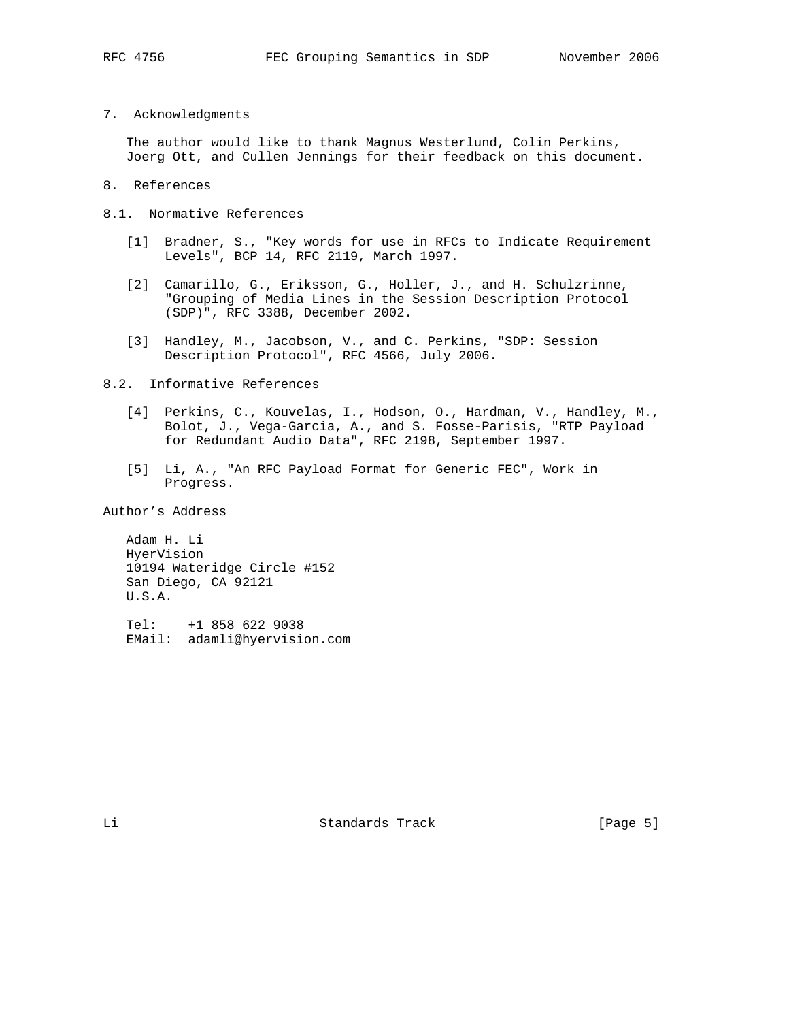7. Acknowledgments

 The author would like to thank Magnus Westerlund, Colin Perkins, Joerg Ott, and Cullen Jennings for their feedback on this document.

- 8. References
- 8.1. Normative References
	- [1] Bradner, S., "Key words for use in RFCs to Indicate Requirement Levels", BCP 14, RFC 2119, March 1997.
	- [2] Camarillo, G., Eriksson, G., Holler, J., and H. Schulzrinne, "Grouping of Media Lines in the Session Description Protocol (SDP)", RFC 3388, December 2002.
	- [3] Handley, M., Jacobson, V., and C. Perkins, "SDP: Session Description Protocol", RFC 4566, July 2006.

### 8.2. Informative References

- [4] Perkins, C., Kouvelas, I., Hodson, O., Hardman, V., Handley, M., Bolot, J., Vega-Garcia, A., and S. Fosse-Parisis, "RTP Payload for Redundant Audio Data", RFC 2198, September 1997.
- [5] Li, A., "An RFC Payload Format for Generic FEC", Work in Progress.

Author's Address

 Adam H. Li HyerVision 10194 Wateridge Circle #152 San Diego, CA 92121 U.S.A.

 Tel: +1 858 622 9038 EMail: adamli@hyervision.com

Li Standards Track [Page 5]